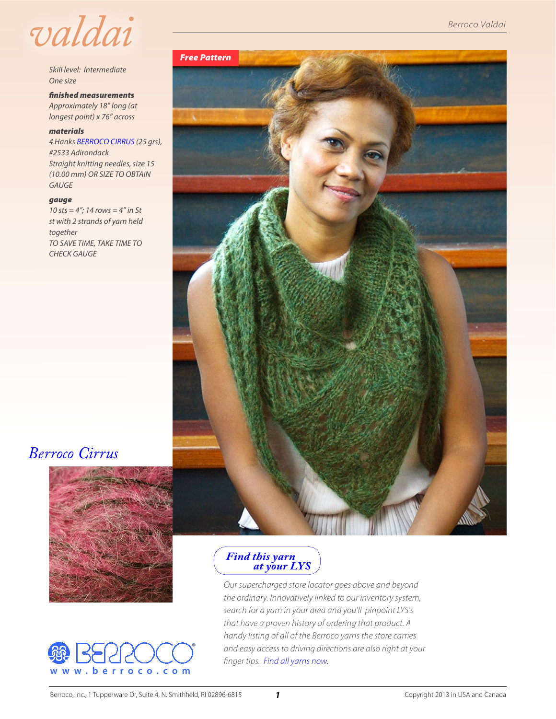

*Skill level: Intermediate One size*

*finished measurements Approximately 18" long (at longest point) x 76" across*

#### *materials*

*4 Hanks [BERROCO CIRRUS](http://www.berroco.com/yarns/berroco-cirrus) (25 grs), #2533 Adirondack Straight knitting needles, size 15 (10.00 mm) OR SIZE TO OBTAIN GAUGE*

#### *gauge*

*10 sts = 4"; 14 rows = 4" in St st with 2 strands of yarn held together TO SAVE TIME, TAKE TIME TO CHECK GAUGE*

# *Berroco Valdai*



## *[Berroco Cirrus](http://www.berroco.com/yarns/berroco-cirrus)*





#### *Find this yarn  [at your LYS](http://www.berroco.com/store-locator/shops?optionOPT1=berroco&optionOPT2=~Crrs~B&mapid=US&lang=en&design=default&place=)*

*Our supercharged store locator goes above and beyond the ordinary. Innovatively linked to our inventory system, search for a yarn in your area and you'll pinpoint LYS's that have a proven history of ordering that product. A handy listing of all of the Berroco yarns the store carries and easy access to driving directions are also right at your finger tips. [Find all yarns now](http://www.berroco.com/store-locator).*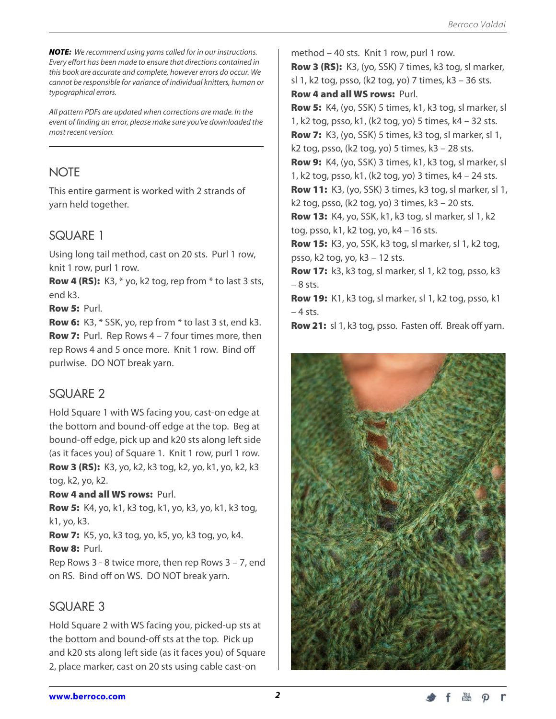*NOTE: We recommend using yarns called for in our instructions. Every effort has been made to ensure that directions contained in this book are accurate and complete, however errors do occur. We cannot be responsible for variance of individual knitters, human or typographical errors.*

*All pattern PDFs are updated when corrections are made. In the event of finding an error, please make sure you've downloaded the most recent version.*

## **NOTE**

This entire garment is worked with 2 strands of yarn held together.

## SQUARE 1

Using long tail method, cast on 20 sts. Purl 1 row, knit 1 row, purl 1 row.

**Row 4 (RS):** K3,  $*$  yo, k2 tog, rep from  $*$  to last 3 sts, end k3.

Row 5: Purl.

Row 6: K3, \* SSK, yo, rep from \* to last 3 st, end k3. **Row 7:** Purl. Rep Rows  $4 - 7$  four times more, then rep Rows 4 and 5 once more. Knit 1 row. Bind off purlwise. DO NOT break yarn.

## SQUARE 2

Hold Square 1 with WS facing you, cast-on edge at the bottom and bound-off edge at the top. Beg at bound-off edge, pick up and k20 sts along left side (as it faces you) of Square 1. Knit 1 row, purl 1 row. Row 3 (RS): K3, yo, k2, k3 tog, k2, yo, k1, yo, k2, k3 tog, k2, yo, k2.

#### Row 4 and all WS rows: Purl.

Row 5: K4, yo, k1, k3 tog, k1, yo, k3, yo, k1, k3 tog, k1, yo, k3.

Row 7: K5, yo, k3 tog, yo, k5, yo, k3 tog, yo, k4. Row 8: Purl.

Rep Rows 3 - 8 twice more, then rep Rows 3 – 7, end on RS. Bind off on WS. DO NOT break yarn.

### SQUARE 3

Hold Square 2 with WS facing you, picked-up sts at the bottom and bound-off sts at the top. Pick up and k20 sts along left side (as it faces you) of Square 2, place marker, cast on 20 sts using cable cast-on

method – 40 sts. Knit 1 row, purl 1 row. Row 3 (RS): K3, (yo, SSK) 7 times, k3 tog, sl marker, sl 1, k2 tog, psso, (k2 tog, yo) 7 times, k3 – 36 sts. Row 4 and all WS rows: Purl. Row 5: K4, (yo, SSK) 5 times, k1, k3 tog, sl marker, sl 1, k2 tog, psso, k1, (k2 tog, yo) 5 times, k4 – 32 sts. Row 7: K3, (yo, SSK) 5 times, k3 tog, sl marker, sl 1, k2 tog, psso, (k2 tog, yo) 5 times, k3 – 28 sts. Row 9: K4, (yo, SSK) 3 times, k1, k3 tog, sl marker, sl 1, k2 tog, psso, k1, (k2 tog, yo) 3 times, k4 – 24 sts. **Row 11:** K3, (yo, SSK) 3 times, k3 tog, sl marker, sl 1, k2 tog, psso, (k2 tog, yo) 3 times,  $k3 - 20$  sts. Row 13: K4, yo, SSK, k1, k3 tog, sl marker, sl 1, k2 tog, psso, k1, k2 tog, yo, k4 – 16 sts. Row 15: K3, yo, SSK, k3 tog, sl marker, sl 1, k2 tog, psso, k2 tog, yo, k3 – 12 sts. Row 17: k3, k3 tog, sl marker, sl 1, k2 tog, psso, k3 – 8 sts. Row 19: K1, k3 tog, sl marker, sl 1, k2 tog, psso, k1  $-4$  sts.

Row 21: sl 1, k3 tog, psso. Fasten off. Break off yarn.